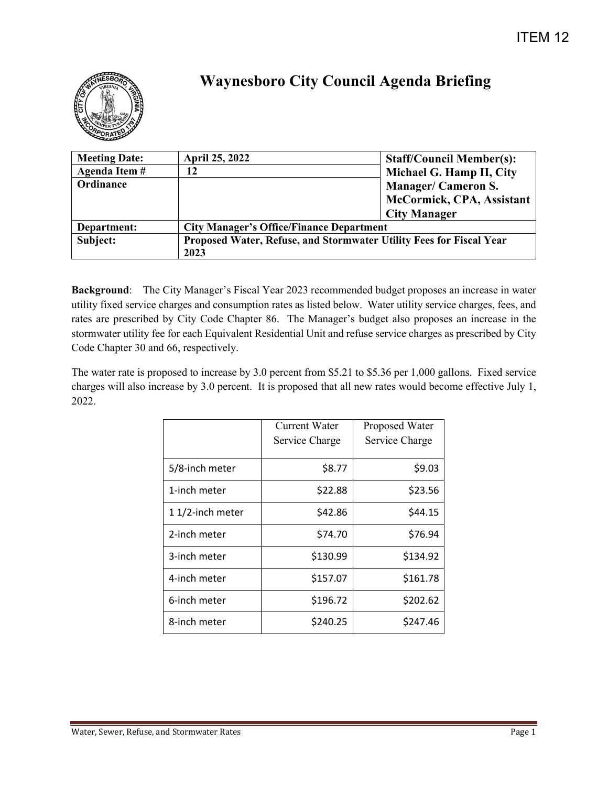

## **Waynesboro City Council Agenda Briefing**

| <b>Meeting Date:</b> | <b>April 25, 2022</b>                                               | <b>Staff/Council Member(s):</b> |  |
|----------------------|---------------------------------------------------------------------|---------------------------------|--|
| Agenda Item #        |                                                                     | Michael G. Hamp II, City        |  |
| Ordinance            |                                                                     | <b>Manager/Cameron S.</b>       |  |
|                      |                                                                     | McCormick, CPA, Assistant       |  |
|                      |                                                                     | <b>City Manager</b>             |  |
| Department:          | <b>City Manager's Office/Finance Department</b>                     |                                 |  |
| Subject:             | Proposed Water, Refuse, and Stormwater Utility Fees for Fiscal Year |                                 |  |
|                      | 2023                                                                |                                 |  |

**Background**: The City Manager's Fiscal Year 2023 recommended budget proposes an increase in water utility fixed service charges and consumption rates as listed below. Water utility service charges, fees, and rates are prescribed by City Code Chapter 86. The Manager's budget also proposes an increase in the stormwater utility fee for each Equivalent Residential Unit and refuse service charges as prescribed by City Code Chapter 30 and 66, respectively.

The water rate is proposed to increase by 3.0 percent from \$5.21 to \$5.36 per 1,000 gallons. Fixed service charges will also increase by 3.0 percent. It is proposed that all new rates would become effective July 1, 2022.

|                 | Current Water<br>Service Charge | Proposed Water<br>Service Charge |
|-----------------|---------------------------------|----------------------------------|
| 5/8-inch meter  | \$8.77                          | \$9.03                           |
| 1-inch meter    | \$22.88                         | \$23.56                          |
| 11/2-inch meter | \$42.86                         | \$44.15                          |
| 2-inch meter    | \$74.70                         | \$76.94                          |
| 3-inch meter    | \$130.99                        | \$134.92                         |
| 4-inch meter    | \$157.07                        | \$161.78                         |
| 6-inch meter    | \$196.72                        | \$202.62                         |
| 8-inch meter    | \$240.25                        | \$247.46                         |